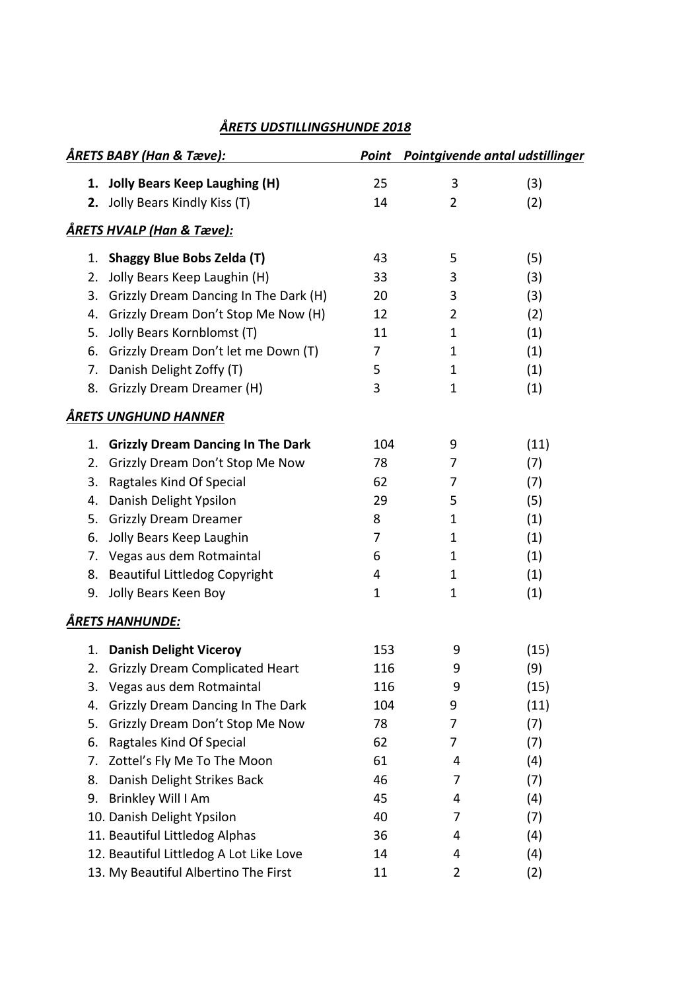| <u>ÅRETS BABY (Han &amp; Tæve):</u> |                                          | Point       | Pointgivende antal udstillinger |      |
|-------------------------------------|------------------------------------------|-------------|---------------------------------|------|
| 1.                                  | <b>Jolly Bears Keep Laughing (H)</b>     | 25          | 3                               | (3)  |
| 2.                                  | Jolly Bears Kindly Kiss (T)              | 14          | $\overline{2}$                  | (2)  |
|                                     | ÅRETS HVALP (Han & Tæve):                |             |                                 |      |
| 1.                                  | <b>Shaggy Blue Bobs Zelda (T)</b>        | 43          | 5                               | (5)  |
| 2.                                  | Jolly Bears Keep Laughin (H)             | 33          | 3                               | (3)  |
| 3.                                  | Grizzly Dream Dancing In The Dark (H)    | 20          | 3                               | (3)  |
| 4.                                  | Grizzly Dream Don't Stop Me Now (H)      | 12          | $\overline{2}$                  | (2)  |
| 5.                                  | Jolly Bears Kornblomst (T)               | 11          | $\mathbf 1$                     | (1)  |
| 6.                                  | Grizzly Dream Don't let me Down (T)      | 7           | 1                               | (1)  |
| 7.                                  | Danish Delight Zoffy (T)                 | 5           | $\mathbf 1$                     | (1)  |
| 8.                                  | Grizzly Dream Dreamer (H)                | 3           | 1                               | (1)  |
|                                     | ÅRETS UNGHUND HANNER                     |             |                                 |      |
| 1.                                  | <b>Grizzly Dream Dancing In The Dark</b> | 104         | 9                               | (11) |
| 2.                                  | Grizzly Dream Don't Stop Me Now          | 78          | 7                               | (7)  |
| 3.                                  | Ragtales Kind Of Special                 | 62          | 7                               | (7)  |
| 4.                                  | Danish Delight Ypsilon                   | 29          | 5                               | (5)  |
| 5.                                  | <b>Grizzly Dream Dreamer</b>             | 8           | $\mathbf 1$                     | (1)  |
| 6.                                  | Jolly Bears Keep Laughin                 | 7           | 1                               | (1)  |
| 7.                                  | Vegas aus dem Rotmaintal                 | 6           | 1                               | (1)  |
| 8.                                  | <b>Beautiful Littledog Copyright</b>     | 4           | $\mathbf 1$                     | (1)  |
| 9.                                  | Jolly Bears Keen Boy                     | $\mathbf 1$ | 1                               | (1)  |
|                                     | <b>ÅRETS HANHUNDE:</b>                   |             |                                 |      |
| 1.                                  | <b>Danish Delight Viceroy</b>            | 153         | 9                               | (15) |
| 2.                                  | <b>Grizzly Dream Complicated Heart</b>   | 116         | 9                               | (9)  |
| 3.                                  | Vegas aus dem Rotmaintal                 | 116         | 9                               | (15) |
| 4.                                  | Grizzly Dream Dancing In The Dark        | 104         | 9                               | (11) |
| 5.                                  | Grizzly Dream Don't Stop Me Now          | 78          | 7                               | (7)  |
| 6.                                  | Ragtales Kind Of Special                 | 62          | 7                               | (7)  |
| 7.                                  | Zottel's Fly Me To The Moon              | 61          | 4                               | (4)  |
| 8.                                  | Danish Delight Strikes Back              | 46          | 7                               | (7)  |
| 9.                                  | Brinkley Will I Am                       | 45          | 4                               | (4)  |
|                                     | 10. Danish Delight Ypsilon               | 40          | 7                               | (7)  |
|                                     | 11. Beautiful Littledog Alphas           | 36          | 4                               | (4)  |
|                                     | 12. Beautiful Littledog A Lot Like Love  | 14          | 4                               | (4)  |
|                                     | 13. My Beautiful Albertino The First     | 11          | 2                               | (2)  |

## *ÅRETS UDSTILLINGSHUNDE 2018*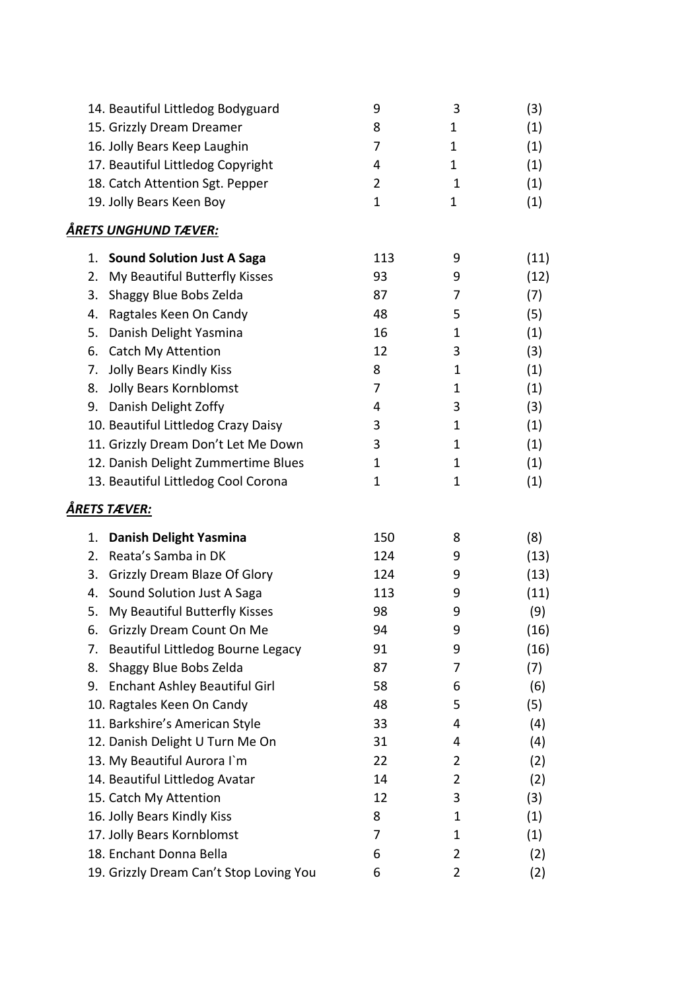|    | 14. Beautiful Littledog Bodyguard       | 9              | 3           | (3)  |
|----|-----------------------------------------|----------------|-------------|------|
|    | 15. Grizzly Dream Dreamer               | 8              | 1           | (1)  |
|    | 16. Jolly Bears Keep Laughin            | 7              | 1           | (1)  |
|    | 17. Beautiful Littledog Copyright       | 4              | 1           | (1)  |
|    | 18. Catch Attention Sgt. Pepper         | $\overline{2}$ | 1           | (1)  |
|    | 19. Jolly Bears Keen Boy                | $\mathbf 1$    | 1           | (1)  |
|    | ÅRETS UNGHUND TÆVER:                    |                |             |      |
| 1. | <b>Sound Solution Just A Saga</b>       | 113            | 9           | (11) |
| 2. | My Beautiful Butterfly Kisses           | 93             | 9           | (12) |
| 3. | Shaggy Blue Bobs Zelda                  | 87             | 7           | (7)  |
| 4. | Ragtales Keen On Candy                  | 48             | 5           | (5)  |
| 5. | Danish Delight Yasmina                  | 16             | 1           | (1)  |
| 6. | <b>Catch My Attention</b>               | 12             | 3           | (3)  |
| 7. | <b>Jolly Bears Kindly Kiss</b>          | 8              | $\mathbf 1$ | (1)  |
| 8. | <b>Jolly Bears Kornblomst</b>           | 7              | 1           | (1)  |
| 9. | Danish Delight Zoffy                    | 4              | 3           | (3)  |
|    | 10. Beautiful Littledog Crazy Daisy     | 3              | 1           | (1)  |
|    | 11. Grizzly Dream Don't Let Me Down     | 3              | 1           | (1)  |
|    | 12. Danish Delight Zummertime Blues     | 1              | 1           | (1)  |
|    | 13. Beautiful Littledog Cool Corona     | 1              | 1           | (1)  |
|    | ÅRETS TÆVER:                            |                |             |      |
| 1. | <b>Danish Delight Yasmina</b>           | 150            | 8           | (8)  |
| 2. | Reata's Samba in DK                     | 124            | 9           | (13) |
| 3. | <b>Grizzly Dream Blaze Of Glory</b>     | 124            | 9           | (13) |
| 4. | Sound Solution Just A Saga              | 113            | 9           | (11) |
| 5. | My Beautiful Butterfly Kisses           | 98             | 9           | (9)  |
| ь. | Grizzly Dream Count On Me               | 94             | 9           | (16) |
| 7. | Beautiful Littledog Bourne Legacy       | 91             | 9           | (16) |
| 8. | Shaggy Blue Bobs Zelda                  | 87             | 7           | (7)  |
| 9. | <b>Enchant Ashley Beautiful Girl</b>    | 58             | 6           | (6)  |
|    | 10. Ragtales Keen On Candy              | 48             | 5           | (5)  |
|    | 11. Barkshire's American Style          | 33             | 4           | (4)  |
|    | 12. Danish Delight U Turn Me On         | 31             | 4           | (4)  |
|    | 13. My Beautiful Aurora I'm             | 22             | 2           | (2)  |
|    | 14. Beautiful Littledog Avatar          | 14             | 2           | (2)  |
|    | 15. Catch My Attention                  | 12             | 3           | (3)  |
|    | 16. Jolly Bears Kindly Kiss             | 8              | $\mathbf 1$ | (1)  |
|    | 17. Jolly Bears Kornblomst              | 7              | 1           | (1)  |
|    | 18. Enchant Donna Bella                 | 6              | 2           | (2)  |
|    | 19. Grizzly Dream Can't Stop Loving You | 6              | 2           | (2)  |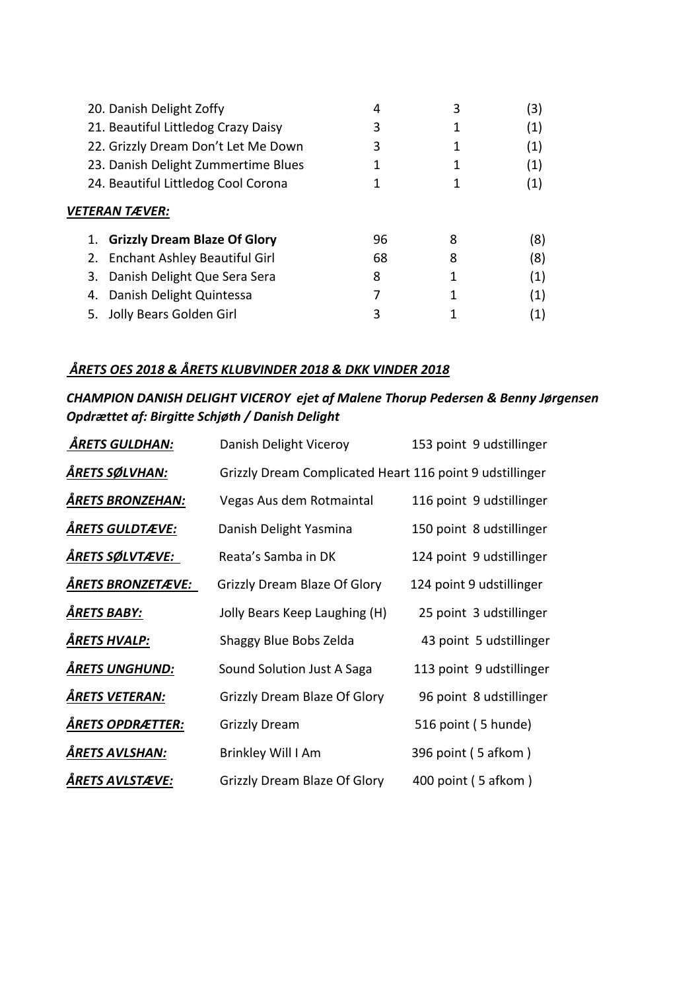|    | 20. Danish Delight Zoffy            |    |   | (3)              |
|----|-------------------------------------|----|---|------------------|
|    | 21. Beautiful Littledog Crazy Daisy | 3  |   | (1)              |
|    | 22. Grizzly Dream Don't Let Me Down | 3  |   | (1)              |
|    | 23. Danish Delight Zummertime Blues |    |   | (1)              |
|    | 24. Beautiful Littledog Cool Corona |    |   | (1)              |
|    | <b>VETERAN TÆVER:</b>               |    |   |                  |
|    | 1. Grizzly Dream Blaze Of Glory     | 96 | 8 | (8)              |
|    | 2. Enchant Ashley Beautiful Girl    | 68 | 8 | (8)              |
|    | 3. Danish Delight Que Sera Sera     | 8  |   | (1)              |
| 4. | Danish Delight Quintessa            |    |   | (1)              |
|    | 5. Jolly Bears Golden Girl          |    |   | $\left(1\right)$ |

## *ÅRETS OES 2018 & ÅRETS KLUBVINDER 2018 & DKK VINDER 2018*

## *CHAMPION DANISH DELIGHT VICEROY ejet af Malene Thorup Pedersen & Benny Jørgensen Opdrættet af: Birgitte Schjøth / Danish Delight*

| <b>ÄRETS GULDHAN:</b>    | Danish Delight Viceroy                                   | 153 point 9 udstillinger |
|--------------------------|----------------------------------------------------------|--------------------------|
| <u>ÅRETS SØLVHAN:</u>    | Grizzly Dream Complicated Heart 116 point 9 udstillinger |                          |
| <b>ÅRETS BRONZEHAN:</b>  | Vegas Aus dem Rotmaintal                                 | 116 point 9 udstillinger |
| <b>ÅRETS GULDTÆVE:</b>   | Danish Delight Yasmina                                   | 150 point 8 udstillinger |
| ÅRETS SØLVTÆVE:          | Reata's Samba in DK                                      | 124 point 9 udstillinger |
| <b>ÅRETS BRONZETÆVE:</b> | <b>Grizzly Dream Blaze Of Glory</b>                      | 124 point 9 udstillinger |
| ÅRETS BABY:              | Jolly Bears Keep Laughing (H)                            | 25 point 3 udstillinger  |
| ÅRETS HVALP:             | Shaggy Blue Bobs Zelda                                   | 43 point 5 udstillinger  |
| <b>ÅRETS UNGHUND:</b>    | Sound Solution Just A Saga                               | 113 point 9 udstillinger |
| ÅRETS VETERAN:           | Grizzly Dream Blaze Of Glory                             | 96 point 8 udstillinger  |
| ÅRET <u>S OPDRÆTTER:</u> | <b>Grizzly Dream</b>                                     | 516 point (5 hunde)      |
| ÅRETS AVLSHAN:           | Brinkley Will I Am                                       | 396 point (5 afkom)      |
| ÅRETS AVLSTÆVE:          | Grizzly Dream Blaze Of Glory                             | 400 point (5 afkom)      |